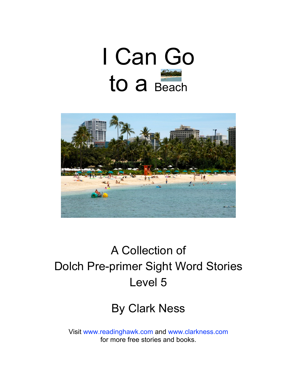



### A Collection of Dolch Pre-primer Sight Word Stories Level 5

#### By Clark Ness

Visit [www.readinghawk.com](http://www.readinghawk.com) and [www.clarkness.com](http://www.clarkness.com) for more free stories and books.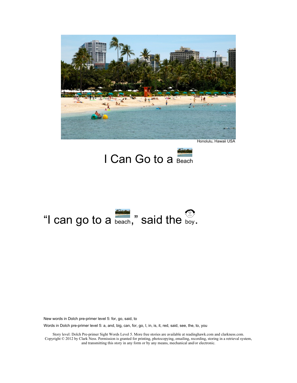

Honolulu, Hawaii USA



# "I can go to a  $_{\text{beach}}$ ," said the  $_{\text{boy}}$ .

New words in Dolch pre-primer level 5: for, go, said, to

Words in Dolch pre-primer level 5: a, and, big, can, for, go, I, in, is, it, red, said, see, the, to, you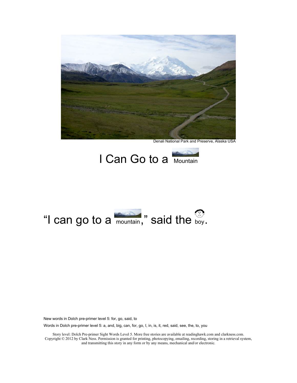

Denali National Park and Preserve, Alaska USA





New words in Dolch pre-primer level 5: for, go, said, to

Words in Dolch pre-primer level 5: a, and, big, can, for, go, I, in, is, it, red, said, see, the, to, you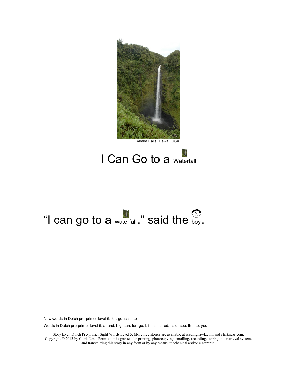

#### I Can Go to a Waterfall

## "I can go to a  $_{\text{waterfall}}$ ," said the  $_{\text{boy}}$ .

New words in Dolch pre-primer level 5: for, go, said, to

Words in Dolch pre-primer level 5: a, and, big, can, for, go, I, in, is, it, red, said, see, the, to, you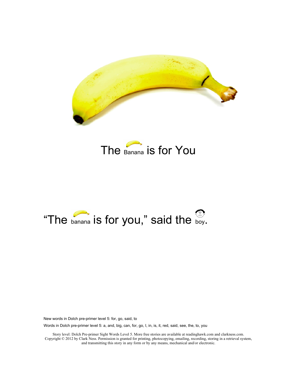



## "The  $_{\text{banna}}$  is for you," said the  $_{\text{boy}}$ .

New words in Dolch pre-primer level 5: for, go, said, to

Words in Dolch pre-primer level 5: a, and, big, can, for, go, I, in, is, it, red, said, see, the, to, you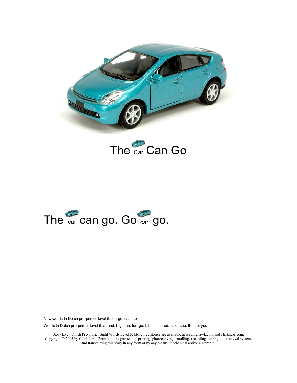





Words in Dolch pre-primer level 5: a, and, big, can, for, go, I, in, is, it, red, said, see, the, to, you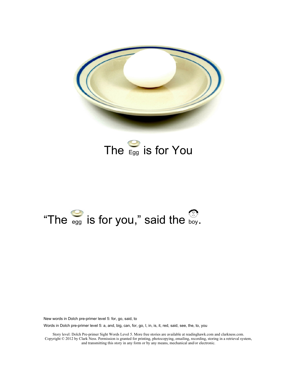

### The  $E_{gg}$  is for You

## "The  $_{\text{egg}}$  is for you," said the  $_{\text{boy}}$ .

New words in Dolch pre-primer level 5: for, go, said, to

Words in Dolch pre-primer level 5: a, and, big, can, for, go, I, in, is, it, red, said, see, the, to, you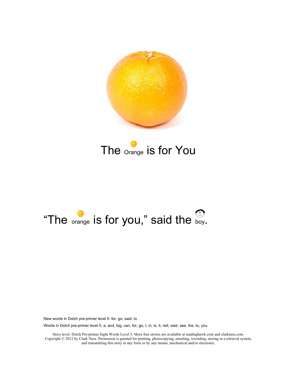

#### The <sub>Orange</sub> is for You

## "The  $_{\text{orange}}$  is for you," said the  $_{\text{boy.}}$

New words in Dolch pre-primer level 5: for, go, said, to

Words in Dolch pre-primer level 5: a, and, big, can, for, go, I, in, is, it, red, said, see, the, to, you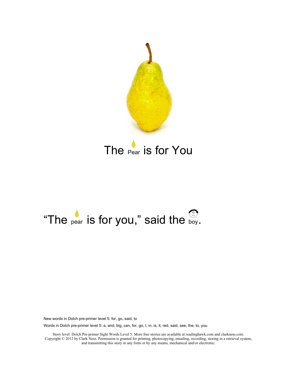

#### The Pear is for You

## "The pear is for you," said the boy.

New words in Dolch pre-primer level 5: for, go, said, to

Words in Dolch pre-primer level 5: a, and, big, can, for, go, I, in, is, it, red, said, see, the, to, you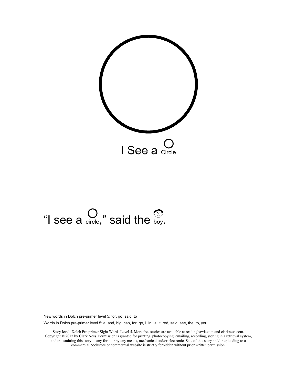

# "I see a  $\bigcirc$ <sub>circle</sub>," said the  $\bigcirc$ <sub>boy</sub>.

New words in Dolch pre-primer level 5: for, go, said, to

Words in Dolch pre-primer level 5: a, and, big, can, for, go, I, in, is, it, red, said, see, the, to, you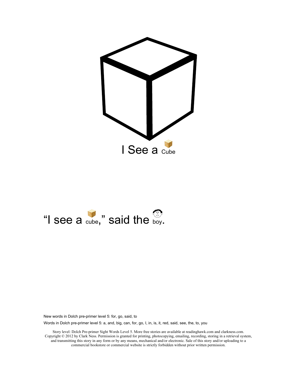



Words in Dolch pre-primer level 5: a, and, big, can, for, go, I, in, is, it, red, said, see, the, to, you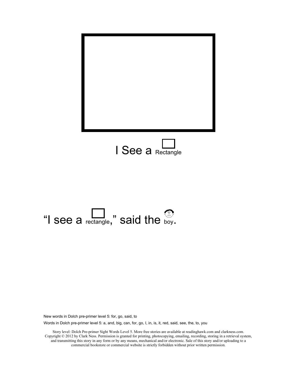



Words in Dolch pre-primer level 5: a, and, big, can, for, go, I, in, is, it, red, said, see, the, to, you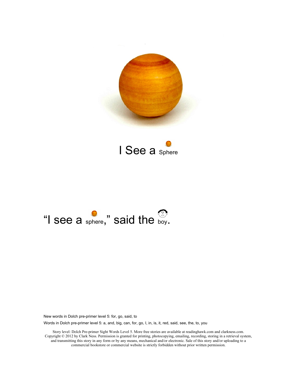





Words in Dolch pre-primer level 5: a, and, big, can, for, go, I, in, is, it, red, said, see, the, to, you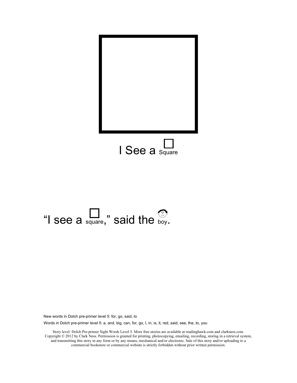

# "I see a  $\sum_{\text{square}}$ ," said the boy.

New words in Dolch pre-primer level 5: for, go, said, to

Words in Dolch pre-primer level 5: a, and, big, can, for, go, I, in, is, it, red, said, see, the, to, you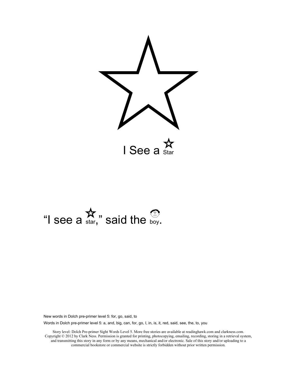

## "I see a  $\mathbf{\hat{x}}$ ," said the boy.

New words in Dolch pre-primer level 5: for, go, said, to

Words in Dolch pre-primer level 5: a, and, big, can, for, go, I, in, is, it, red, said, see, the, to, you